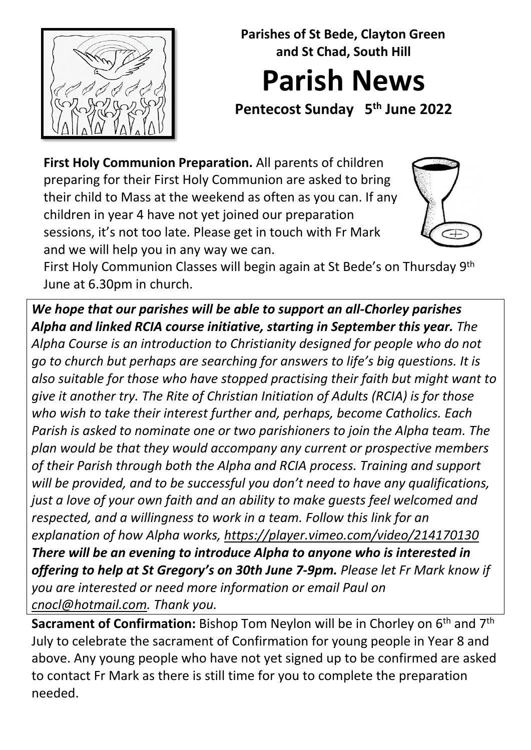

**Parishes of St Bede, Clayton Green and St Chad, South Hill Parish News**

**Pentecost Sunday 5th June 2022** 

**First Holy Communion Preparation.** All parents of children preparing for their First Holy Communion are asked to bring their child to Mass at the weekend as often as you can. If any children in year 4 have not yet joined our preparation sessions, it's not too late. Please get in touch with Fr Mark and we will help you in any way we can.



First Holy Communion Classes will begin again at St Bede's on Thursday 9th June at 6.30pm in church.

*We hope that our parishes will be able to support an all-Chorley parishes Alpha and linked RCIA course initiative, starting in September this year. The Alpha Course is an introduction to Christianity designed for people who do not go to church but perhaps are searching for answers to life's big questions. It is also suitable for those who have stopped practising their faith but might want to give it another try. The Rite of Christian Initiation of Adults (RCIA) is for those who wish to take their interest further and, perhaps, become Catholics. Each Parish is asked to nominate one or two parishioners to join the Alpha team. The plan would be that they would accompany any current or prospective members of their Parish through both the Alpha and RCIA process. Training and support will be provided, and to be successful you don't need to have any qualifications, just a love of your own faith and an ability to make guests feel welcomed and respected, and a willingness to work in a team. Follow this link for an explanation of how Alpha works,<https://player.vimeo.com/video/214170130> There will be an evening to introduce Alpha to anyone who is interested in offering to help at St Gregory's on 30th June 7-9pm. Please let Fr Mark know if you are interested or need more information or email Paul on [cnocl@hotmail.com.](mailto:cnocl@hotmail.com) Thank you.* 

**Sacrament of Confirmation:** Bishop Tom Neylon will be in Chorley on 6<sup>th</sup> and 7<sup>th</sup> July to celebrate the sacrament of Confirmation for young people in Year 8 and above. Any young people who have not yet signed up to be confirmed are asked to contact Fr Mark as there is still time for you to complete the preparation needed.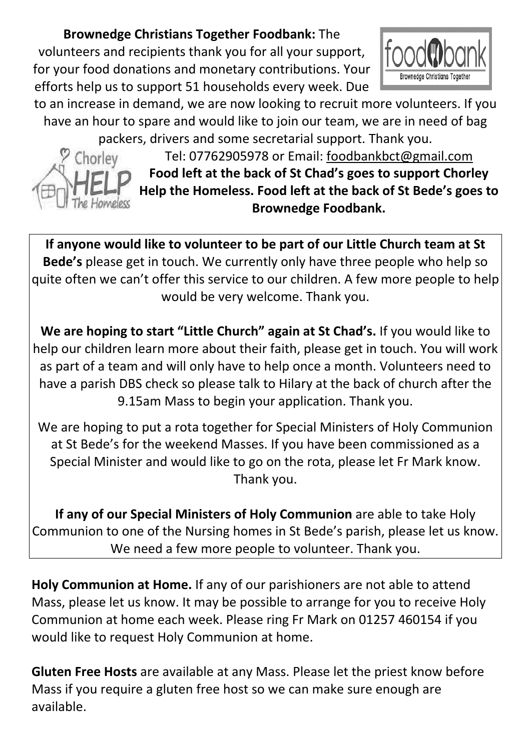#### **Brownedge Christians Together Foodbank:** The

volunteers and recipients thank you for all your support, for your food donations and monetary contributions. Your efforts help us to support 51 households every week. Due



to an increase in demand, we are now looking to recruit more volunteers. If you have an hour to spare and would like to join our team, we are in need of bag packers, drivers and some secretarial support. Thank you.



Tel: 07762905978 or Email: [foodbankbct@gmail.com](mailto:foodbankbct@gmail.com)  **Food left at the back of St Chad's goes to support Chorley Help the Homeless. Food left at the back of St Bede's goes to Brownedge Foodbank.**

**If anyone would like to volunteer to be part of our Little Church team at St Bede's** please get in touch. We currently only have three people who help so quite often we can't offer this service to our children. A few more people to help would be very welcome. Thank you.

**We are hoping to start "Little Church" again at St Chad's.** If you would like to help our children learn more about their faith, please get in touch. You will work as part of a team and will only have to help once a month. Volunteers need to have a parish DBS check so please talk to Hilary at the back of church after the 9.15am Mass to begin your application. Thank you.

We are hoping to put a rota together for Special Ministers of Holy Communion at St Bede's for the weekend Masses. If you have been commissioned as a Special Minister and would like to go on the rota, please let Fr Mark know. Thank you.

**If any of our Special Ministers of Holy Communion** are able to take Holy Communion to one of the Nursing homes in St Bede's parish, please let us know. We need a few more people to volunteer. Thank you.

**Holy Communion at Home.** If any of our parishioners are not able to attend Mass, please let us know. It may be possible to arrange for you to receive Holy Communion at home each week. Please ring Fr Mark on 01257 460154 if you would like to request Holy Communion at home.

**Gluten Free Hosts** are available at any Mass. Please let the priest know before Mass if you require a gluten free host so we can make sure enough are available.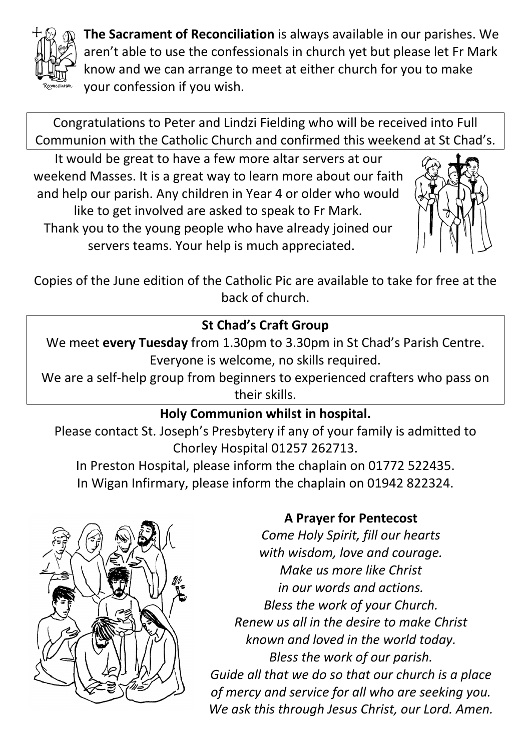

**The Sacrament of Reconciliation** is always available in our parishes. We aren't able to use the confessionals in church yet but please let Fr Mark know and we can arrange to meet at either church for you to make your confession if you wish.

Congratulations to Peter and Lindzi Fielding who will be received into Full Communion with the Catholic Church and confirmed this weekend at St Chad's.

It would be great to have a few more altar servers at our weekend Masses. It is a great way to learn more about our faith and help our parish. Any children in Year 4 or older who would like to get involved are asked to speak to Fr Mark. Thank you to the young people who have already joined our servers teams. Your help is much appreciated.



Copies of the June edition of the Catholic Pic are available to take for free at the back of church.

## **St Chad's Craft Group**

We meet **every Tuesday** from 1.30pm to 3.30pm in St Chad's Parish Centre. Everyone is welcome, no skills required.

We are a self-help group from beginners to experienced crafters who pass on their skills.

### **Holy Communion whilst in hospital.**

Please contact St. Joseph's Presbytery if any of your family is admitted to Chorley Hospital 01257 262713.

In Preston Hospital, please inform the chaplain on 01772 522435. In Wigan Infirmary, please inform the chaplain on 01942 822324.



### **A Prayer for Pentecost**

*Come Holy Spirit, fill our hearts with wisdom, love and courage. Make us more like Christ in our words and actions. Bless the work of your Church. Renew us all in the desire to make Christ known and loved in the world today. Bless the work of our parish. Guide all that we do so that our church is a place of mercy and service for all who are seeking you. We ask this through Jesus Christ, our Lord. Amen.*